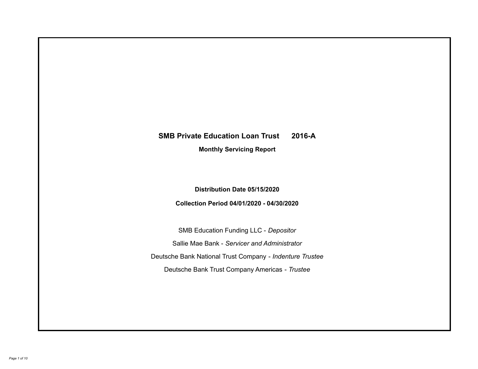# **SMB Private Education Loan Trust 2016-A Monthly Servicing Report**

## **Distribution Date 05/15/2020**

## **Collection Period 04/01/2020 - 04/30/2020**

SMB Education Funding LLC - *Depositor* Sallie Mae Bank - *Servicer and Administrator* Deutsche Bank National Trust Company - *Indenture Trustee* Deutsche Bank Trust Company Americas - *Trustee*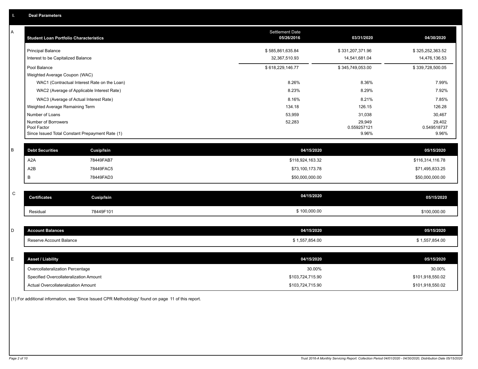| Α | <b>Student Loan Portfolio Characteristics</b>                  | <b>Settlement Date</b><br>05/26/2016 | 03/31/2020           | 04/30/2020           |
|---|----------------------------------------------------------------|--------------------------------------|----------------------|----------------------|
|   | <b>Principal Balance</b>                                       | \$585,861,635.84                     | \$331,207,371.96     | \$325,252,363.52     |
|   | Interest to be Capitalized Balance                             | 32,367,510.93                        | 14,541,681.04        | 14,476,136.53        |
|   | Pool Balance                                                   | \$618,229,146.77                     | \$345,749,053.00     | \$339,728,500.05     |
|   | Weighted Average Coupon (WAC)                                  |                                      |                      |                      |
|   | WAC1 (Contractual Interest Rate on the Loan)                   | 8.26%                                | 8.36%                | 7.99%                |
|   | WAC2 (Average of Applicable Interest Rate)                     | 8.23%                                | 8.29%                | 7.92%                |
|   | WAC3 (Average of Actual Interest Rate)                         | 8.16%                                | 8.21%                | 7.85%                |
|   | Weighted Average Remaining Term                                | 134.18                               | 126.15               | 126.28               |
|   | Number of Loans                                                | 53,959                               | 31,038               | 30,467               |
|   | Number of Borrowers                                            | 52,283                               | 29,949               | 29,402               |
|   | Pool Factor<br>Since Issued Total Constant Prepayment Rate (1) |                                      | 0.559257121<br>9.96% | 0.549518737<br>9.96% |
|   |                                                                |                                      |                      |                      |
| B | <b>Debt Securities</b><br><b>Cusip/Isin</b>                    | 04/15/2020                           |                      | 05/15/2020           |
|   | A <sub>2</sub> A<br>78449FAB7                                  | \$118,924,163.32                     |                      | \$116,314,116.78     |
|   | A <sub>2</sub> B<br>78449FAC5                                  | \$73,100,173.78                      |                      | \$71,495,833.25      |
|   | B<br>78449FAD3                                                 | \$50,000,000.00                      |                      | \$50,000,000.00      |
|   |                                                                |                                      |                      |                      |
| C | <b>Certificates</b><br>Cusip/Isin                              | 04/15/2020                           |                      | 05/15/2020           |
|   | 78449F101<br>Residual                                          | \$100,000.00                         |                      | \$100,000.00         |
|   |                                                                |                                      |                      |                      |
| D | <b>Account Balances</b>                                        | 04/15/2020                           |                      | 05/15/2020           |
|   | Reserve Account Balance                                        | \$1,557,854.00                       |                      | \$1,557,854.00       |
|   |                                                                |                                      |                      |                      |
| E | <b>Asset / Liability</b>                                       | 04/15/2020                           |                      | 05/15/2020           |
|   | Overcollateralization Percentage                               | 30.00%                               |                      | 30.00%               |
|   | Specified Overcollateralization Amount                         | \$103,724,715.90                     |                      | \$101,918,550.02     |
|   | Actual Overcollateralization Amount                            | \$103,724,715.90                     |                      | \$101,918,550.02     |

(1) For additional information, see 'Since Issued CPR Methodology' found on page 11 of this report.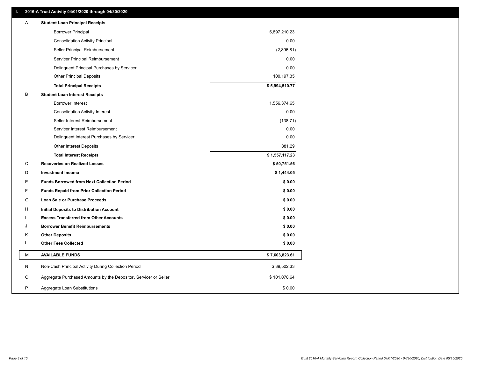## **II. 2016-A Trust Activity 04/01/2020 through 04/30/2020**

| <b>Borrower Principal</b><br>5,897,210.23<br><b>Consolidation Activity Principal</b><br>(2,896.81)<br>Seller Principal Reimbursement<br>Servicer Principal Reimbursement<br>Delinquent Principal Purchases by Servicer<br>100,197.35<br><b>Other Principal Deposits</b><br>\$5,994,510.77<br><b>Total Principal Receipts</b><br>В<br><b>Student Loan Interest Receipts</b><br><b>Borrower Interest</b><br>1,556,374.65<br><b>Consolidation Activity Interest</b><br>Seller Interest Reimbursement<br>Servicer Interest Reimbursement<br>Delinquent Interest Purchases by Servicer<br>Other Interest Deposits<br>\$1,557,117.23<br><b>Total Interest Receipts</b> | 0.00<br>0.00<br>0.00 |
|------------------------------------------------------------------------------------------------------------------------------------------------------------------------------------------------------------------------------------------------------------------------------------------------------------------------------------------------------------------------------------------------------------------------------------------------------------------------------------------------------------------------------------------------------------------------------------------------------------------------------------------------------------------|----------------------|
|                                                                                                                                                                                                                                                                                                                                                                                                                                                                                                                                                                                                                                                                  |                      |
|                                                                                                                                                                                                                                                                                                                                                                                                                                                                                                                                                                                                                                                                  |                      |
|                                                                                                                                                                                                                                                                                                                                                                                                                                                                                                                                                                                                                                                                  |                      |
|                                                                                                                                                                                                                                                                                                                                                                                                                                                                                                                                                                                                                                                                  |                      |
|                                                                                                                                                                                                                                                                                                                                                                                                                                                                                                                                                                                                                                                                  |                      |
|                                                                                                                                                                                                                                                                                                                                                                                                                                                                                                                                                                                                                                                                  |                      |
|                                                                                                                                                                                                                                                                                                                                                                                                                                                                                                                                                                                                                                                                  |                      |
|                                                                                                                                                                                                                                                                                                                                                                                                                                                                                                                                                                                                                                                                  |                      |
|                                                                                                                                                                                                                                                                                                                                                                                                                                                                                                                                                                                                                                                                  |                      |
|                                                                                                                                                                                                                                                                                                                                                                                                                                                                                                                                                                                                                                                                  | 0.00                 |
|                                                                                                                                                                                                                                                                                                                                                                                                                                                                                                                                                                                                                                                                  | (138.71)             |
|                                                                                                                                                                                                                                                                                                                                                                                                                                                                                                                                                                                                                                                                  | 0.00                 |
|                                                                                                                                                                                                                                                                                                                                                                                                                                                                                                                                                                                                                                                                  | 0.00                 |
|                                                                                                                                                                                                                                                                                                                                                                                                                                                                                                                                                                                                                                                                  | 881.29               |
|                                                                                                                                                                                                                                                                                                                                                                                                                                                                                                                                                                                                                                                                  |                      |
| C<br><b>Recoveries on Realized Losses</b><br>\$50,751.56                                                                                                                                                                                                                                                                                                                                                                                                                                                                                                                                                                                                         |                      |
| D<br><b>Investment Income</b><br>\$1,444.05                                                                                                                                                                                                                                                                                                                                                                                                                                                                                                                                                                                                                      |                      |
| Е<br><b>Funds Borrowed from Next Collection Period</b>                                                                                                                                                                                                                                                                                                                                                                                                                                                                                                                                                                                                           | \$0.00               |
| F<br><b>Funds Repaid from Prior Collection Period</b>                                                                                                                                                                                                                                                                                                                                                                                                                                                                                                                                                                                                            | \$0.00               |
| G<br>Loan Sale or Purchase Proceeds                                                                                                                                                                                                                                                                                                                                                                                                                                                                                                                                                                                                                              | \$0.00               |
| н<br><b>Initial Deposits to Distribution Account</b>                                                                                                                                                                                                                                                                                                                                                                                                                                                                                                                                                                                                             | \$0.00               |
| <b>Excess Transferred from Other Accounts</b>                                                                                                                                                                                                                                                                                                                                                                                                                                                                                                                                                                                                                    | \$0.00               |
| J<br><b>Borrower Benefit Reimbursements</b>                                                                                                                                                                                                                                                                                                                                                                                                                                                                                                                                                                                                                      | \$0.00               |
| Κ<br><b>Other Deposits</b>                                                                                                                                                                                                                                                                                                                                                                                                                                                                                                                                                                                                                                       | \$0.00               |
| L<br><b>Other Fees Collected</b>                                                                                                                                                                                                                                                                                                                                                                                                                                                                                                                                                                                                                                 | \$0.00               |
| М<br><b>AVAILABLE FUNDS</b><br>\$7,603,823.61                                                                                                                                                                                                                                                                                                                                                                                                                                                                                                                                                                                                                    |                      |
| N<br>Non-Cash Principal Activity During Collection Period<br>\$39,502.33                                                                                                                                                                                                                                                                                                                                                                                                                                                                                                                                                                                         |                      |
| Aggregate Purchased Amounts by the Depositor, Servicer or Seller<br>O<br>\$101,078.64                                                                                                                                                                                                                                                                                                                                                                                                                                                                                                                                                                            |                      |
| P<br>\$0.00<br>Aggregate Loan Substitutions                                                                                                                                                                                                                                                                                                                                                                                                                                                                                                                                                                                                                      |                      |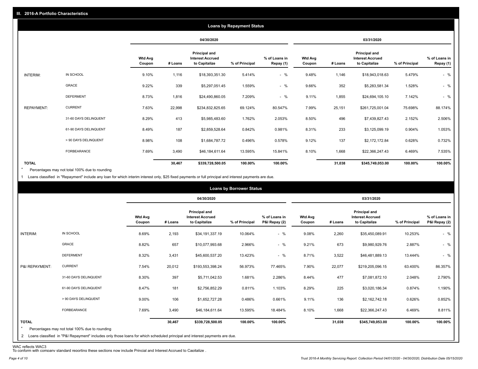|                   | <b>Loans by Repayment Status</b> |                          |         |                                                           |                |                            |                          |         |                                                           |                |                            |
|-------------------|----------------------------------|--------------------------|---------|-----------------------------------------------------------|----------------|----------------------------|--------------------------|---------|-----------------------------------------------------------|----------------|----------------------------|
|                   |                                  |                          |         | 04/30/2020                                                |                |                            |                          |         | 03/31/2020                                                |                |                            |
|                   |                                  | <b>Wtd Avg</b><br>Coupon | # Loans | Principal and<br><b>Interest Accrued</b><br>to Capitalize | % of Principal | % of Loans in<br>Repay (1) | <b>Wtd Avg</b><br>Coupon | # Loans | Principal and<br><b>Interest Accrued</b><br>to Capitalize | % of Principal | % of Loans in<br>Repay (1) |
| INTERIM:          | IN SCHOOL                        | 9.10%                    | 1,116   | \$18,393,351.30                                           | 5.414%         | $-$ %                      | 9.48%                    | 1,146   | \$18,943,018.63                                           | 5.479%         | $-$ %                      |
|                   | GRACE                            | 9.22%                    | 339     | \$5,297,051.45                                            | 1.559%         | $-$ %                      | 9.66%                    | 352     | \$5,283,581.34                                            | 1.528%         | $-$ %                      |
|                   | <b>DEFERMENT</b>                 | 8.73%                    | 1,816   | \$24,490,860.05                                           | 7.209%         | $-$ %                      | 9.11%                    | 1,855   | \$24,694,105.10                                           | 7.142%         | $-$ %                      |
| <b>REPAYMENT:</b> | <b>CURRENT</b>                   | 7.63%                    | 22,998  | \$234,832,825.65                                          | 69.124%        | 80.547%                    | 7.99%                    | 25,151  | \$261,725,001.04                                          | 75.698%        | 88.174%                    |
|                   | 31-60 DAYS DELINQUENT            | 8.29%                    | 413     | \$5,985,483.60                                            | 1.762%         | 2.053%                     | 8.50%                    | 496     | \$7,439,827.43                                            | 2.152%         | 2.506%                     |
|                   | 61-90 DAYS DELINQUENT            | 8.49%                    | 187     | \$2,859,528.64                                            | 0.842%         | 0.981%                     | 8.31%                    | 233     | \$3,125,099.19                                            | 0.904%         | 1.053%                     |
|                   | > 90 DAYS DELINQUENT             | 8.98%                    | 108     | \$1,684,787.72                                            | 0.496%         | 0.578%                     | 9.12%                    | 137     | \$2,172,172.84                                            | 0.628%         | 0.732%                     |
|                   | FORBEARANCE                      | 7.69%                    | 3,490   | \$46,184,611.64                                           | 13.595%        | 15.841%                    | 8.10%                    | 1,668   | \$22,366,247.43                                           | 6.469%         | 7.535%                     |
| <b>TOTAL</b>      |                                  |                          | 30,467  | \$339,728,500.05                                          | 100.00%        | 100.00%                    |                          | 31,038  | \$345,749,053.00                                          | 100.00%        | 100.00%                    |

Percentages may not total 100% due to rounding \*

1 Loans classified in "Repayment" include any loan for which interim interest only, \$25 fixed payments or full principal and interest payments are due.

| <b>Loans by Borrower Status</b> |                                                                                                                              |                          |         |                                                           |                |                                |                          |         |                                                                  |                |                                |
|---------------------------------|------------------------------------------------------------------------------------------------------------------------------|--------------------------|---------|-----------------------------------------------------------|----------------|--------------------------------|--------------------------|---------|------------------------------------------------------------------|----------------|--------------------------------|
|                                 |                                                                                                                              |                          |         | 04/30/2020                                                |                |                                |                          |         | 03/31/2020                                                       |                |                                |
|                                 |                                                                                                                              | <b>Wtd Avg</b><br>Coupon | # Loans | Principal and<br><b>Interest Accrued</b><br>to Capitalize | % of Principal | % of Loans in<br>P&I Repay (2) | <b>Wtd Avg</b><br>Coupon | # Loans | <b>Principal and</b><br><b>Interest Accrued</b><br>to Capitalize | % of Principal | % of Loans in<br>P&I Repay (2) |
| INTERIM:                        | IN SCHOOL                                                                                                                    | 8.69%                    | 2,193   | \$34,191,337.19                                           | 10.064%        | $-$ %                          | 9.08%                    | 2,260   | \$35,450,089.91                                                  | 10.253%        | $-$ %                          |
|                                 | <b>GRACE</b>                                                                                                                 | 8.82%                    | 657     | \$10,077,993.68                                           | 2.966%         | $-$ %                          | 9.21%                    | 673     | \$9,980,929.76                                                   | 2.887%         | $-$ %                          |
|                                 | <b>DEFERMENT</b>                                                                                                             | 8.32%                    | 3,431   | \$45,600,537.20                                           | 13.423%        | $-$ %                          | 8.71%                    | 3,522   | \$46,481,889.13                                                  | 13.444%        | $-$ %                          |
| P&I REPAYMENT:                  | <b>CURRENT</b>                                                                                                               | 7.54%                    | 20,012  | \$193,553,398.24                                          | 56.973%        | 77.465%                        | 7.90%                    | 22,077  | \$219,205,096.15                                                 | 63.400%        | 86.357%                        |
|                                 | 31-60 DAYS DELINQUENT                                                                                                        | 8.30%                    | 397     | \$5,711,042.53                                            | 1.681%         | 2.286%                         | 8.44%                    | 477     | \$7,081,872.10                                                   | 2.048%         | 2.790%                         |
|                                 | 61-90 DAYS DELINQUENT                                                                                                        | 8.47%                    | 181     | \$2,756,852.29                                            | 0.811%         | 1.103%                         | 8.29%                    | 225     | \$3,020,186.34                                                   | 0.874%         | 1.190%                         |
|                                 | > 90 DAYS DELINQUENT                                                                                                         | 9.00%                    | 106     | \$1,652,727.28                                            | 0.486%         | 0.661%                         | 9.11%                    | 136     | \$2,162,742.18                                                   | 0.626%         | 0.852%                         |
|                                 | FORBEARANCE                                                                                                                  | 7.69%                    | 3,490   | \$46,184,611.64                                           | 13.595%        | 18.484%                        | 8.10%                    | 1,668   | \$22,366,247.43                                                  | 6.469%         | 8.811%                         |
| <b>TOTAL</b><br>$\star$         | Percentages may not total 100% due to rounding                                                                               |                          | 30,467  | \$339,728,500.05                                          | 100.00%        | 100.00%                        |                          | 31,038  | \$345,749,053.00                                                 | 100.00%        | 100.00%                        |
|                                 | 2 Loans classified in "P&I Repayment" includes only those loans for which scheduled principal and interest payments are due. |                          |         |                                                           |                |                                |                          |         |                                                                  |                |                                |

WAC reflects WAC3 To conform with company standard reporting these sections now include Princial and Interest Accrued to Capitalize .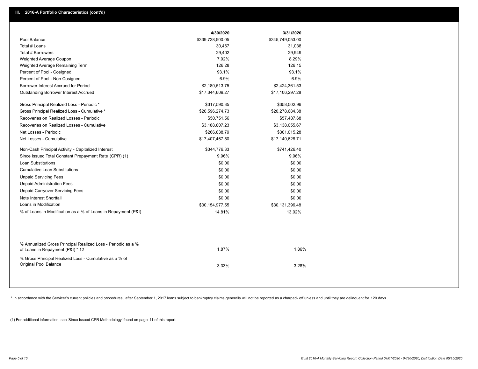|                                                                                                  | 4/30/2020        | 3/31/2020        |  |
|--------------------------------------------------------------------------------------------------|------------------|------------------|--|
| Pool Balance                                                                                     | \$339,728,500.05 | \$345,749,053.00 |  |
| Total # Loans                                                                                    | 30,467           | 31,038           |  |
| Total # Borrowers                                                                                | 29,402           | 29,949           |  |
| Weighted Average Coupon                                                                          | 7.92%            | 8.29%            |  |
| Weighted Average Remaining Term                                                                  | 126.28           | 126.15           |  |
| Percent of Pool - Cosigned                                                                       | 93.1%            | 93.1%            |  |
| Percent of Pool - Non Cosigned                                                                   | 6.9%             | 6.9%             |  |
| Borrower Interest Accrued for Period                                                             | \$2,180,513.75   | \$2,424,361.53   |  |
| Outstanding Borrower Interest Accrued                                                            | \$17,344,609.27  | \$17,106,297.28  |  |
| Gross Principal Realized Loss - Periodic *                                                       | \$317,590.35     | \$358,502.96     |  |
| Gross Principal Realized Loss - Cumulative *                                                     | \$20,596,274.73  | \$20,278,684.38  |  |
| Recoveries on Realized Losses - Periodic                                                         | \$50,751.56      | \$57,487.68      |  |
| Recoveries on Realized Losses - Cumulative                                                       | \$3,188,807.23   | \$3,138,055.67   |  |
| Net Losses - Periodic                                                                            | \$266,838.79     | \$301,015.28     |  |
| Net Losses - Cumulative                                                                          | \$17,407,467.50  | \$17,140,628.71  |  |
| Non-Cash Principal Activity - Capitalized Interest                                               | \$344,776.33     | \$741,426.40     |  |
| Since Issued Total Constant Prepayment Rate (CPR) (1)                                            | 9.96%            | 9.96%            |  |
| <b>Loan Substitutions</b>                                                                        | \$0.00           | \$0.00           |  |
| <b>Cumulative Loan Substitutions</b>                                                             | \$0.00           | \$0.00           |  |
| <b>Unpaid Servicing Fees</b>                                                                     | \$0.00           | \$0.00           |  |
| <b>Unpaid Administration Fees</b>                                                                | \$0.00           | \$0.00           |  |
| <b>Unpaid Carryover Servicing Fees</b>                                                           | \$0.00           | \$0.00           |  |
| Note Interest Shortfall                                                                          | \$0.00           | \$0.00           |  |
| Loans in Modification                                                                            | \$30,154,977.55  | \$30,131,396.48  |  |
| % of Loans in Modification as a % of Loans in Repayment (P&I)                                    | 14.81%           | 13.02%           |  |
|                                                                                                  |                  |                  |  |
| % Annualized Gross Principal Realized Loss - Periodic as a %<br>of Loans in Repayment (P&I) * 12 | 1.87%            | 1.86%            |  |
| % Gross Principal Realized Loss - Cumulative as a % of                                           |                  |                  |  |
| <b>Original Pool Balance</b>                                                                     | 3.33%            | 3.28%            |  |
|                                                                                                  |                  |                  |  |
|                                                                                                  |                  |                  |  |

\* In accordance with the Servicer's current policies and procedures, after September 1, 2017 loans subject to bankruptcy claims generally will not be reported as a charged- off unless and until they are delinquent for 120

(1) For additional information, see 'Since Issued CPR Methodology' found on page 11 of this report.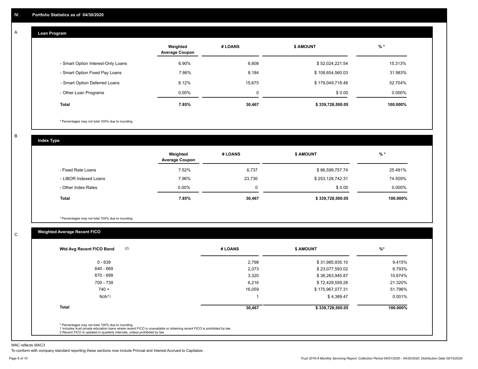#### **Loan Program**  A

|                                    | Weighted<br><b>Average Coupon</b> | # LOANS | <b>\$ AMOUNT</b> | $%$ *    |
|------------------------------------|-----------------------------------|---------|------------------|----------|
| - Smart Option Interest-Only Loans | 6.90%                             | 6,608   | \$52,024,221.54  | 15.313%  |
| - Smart Option Fixed Pay Loans     | 7.86%                             | 8,184   | \$108,654,560.03 | 31.983%  |
| - Smart Option Deferred Loans      | 8.12%                             | 15.675  | \$179,049,718.48 | 52.704%  |
| - Other Loan Programs              | $0.00\%$                          | 0       | \$0.00           | 0.000%   |
| <b>Total</b>                       | 7.85%                             | 30,467  | \$339,728,500.05 | 100.000% |

\* Percentages may not total 100% due to rounding

B

C

**Index Type**

|                       | Weighted<br><b>Average Coupon</b> | # LOANS | <b>\$ AMOUNT</b> | $%$ *     |
|-----------------------|-----------------------------------|---------|------------------|-----------|
| - Fixed Rate Loans    | 7.52%                             | 6,737   | \$86,599,757.74  | 25.491%   |
| - LIBOR Indexed Loans | 7.96%                             | 23,730  | \$253,128,742.31 | 74.509%   |
| - Other Index Rates   | $0.00\%$                          | 0       | \$0.00           | $0.000\%$ |
| Total                 | 7.85%                             | 30,467  | \$339,728,500.05 | 100.000%  |

\* Percentages may not total 100% due to rounding

## **Weighted Average Recent FICO**

| 0 - 639<br>640 - 669 | 2,798<br>2,073 | \$31,985,935.10  | 9.415%   |
|----------------------|----------------|------------------|----------|
|                      |                |                  |          |
|                      |                | \$23,077,593.02  | 6.793%   |
| 670 - 699            | 3,320          | \$36,263,945.87  | 10.674%  |
| 700 - 739            | 6,216          | \$72,429,559.28  | 21.320%  |
| $740 +$              | 16,059         | \$175,967,077.31 | 51.796%  |
| N/A <sup>(1)</sup>   |                | \$4,389.47       | 0.001%   |
| <b>Total</b>         | 30,467         | \$339,728,500.05 | 100.000% |

WAC reflects WAC3

To conform with company standard reporting these sections now include Princial and Interest Accrued to Capitalize .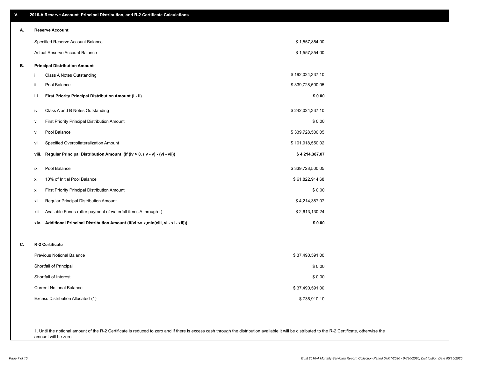| V. | 2016-A Reserve Account, Principal Distribution, and R-2 Certificate Calculations        |                  |
|----|-----------------------------------------------------------------------------------------|------------------|
| А. | <b>Reserve Account</b>                                                                  |                  |
|    | Specified Reserve Account Balance                                                       | \$1,557,854.00   |
|    | Actual Reserve Account Balance                                                          | \$1,557,854.00   |
| В. | <b>Principal Distribution Amount</b>                                                    |                  |
|    | Class A Notes Outstanding<br>i.                                                         | \$192,024,337.10 |
|    | Pool Balance<br>ii.                                                                     | \$339,728,500.05 |
|    | First Priority Principal Distribution Amount (i - ii)<br>iii.                           | \$0.00           |
|    | Class A and B Notes Outstanding<br>iv.                                                  | \$242,024,337.10 |
|    | <b>First Priority Principal Distribution Amount</b><br>v.                               | \$0.00           |
|    | Pool Balance<br>vi.                                                                     | \$339,728,500.05 |
|    | Specified Overcollateralization Amount<br>vii.                                          | \$101,918,550.02 |
|    | Regular Principal Distribution Amount (if (iv > 0, (iv - v) - (vi - vii))<br>viii.      | \$4,214,387.07   |
|    | Pool Balance<br>ix.                                                                     | \$339,728,500.05 |
|    | 10% of Initial Pool Balance<br>х.                                                       | \$61,822,914.68  |
|    | First Priority Principal Distribution Amount<br>xi.                                     | \$0.00           |
|    | Regular Principal Distribution Amount<br>xii.                                           | \$4,214,387.07   |
|    | Available Funds (after payment of waterfall items A through I)<br>xiii.                 | \$2,613,130.24   |
|    | Additional Principal Distribution Amount (if(vi <= x,min(xiii, vi - xi - xii)))<br>xiv. | \$0.00           |
| C. | R-2 Certificate                                                                         |                  |
|    | <b>Previous Notional Balance</b>                                                        | \$37,490,591.00  |
|    | Shortfall of Principal                                                                  | \$0.00           |
|    | Shortfall of Interest                                                                   | \$0.00           |
|    | <b>Current Notional Balance</b>                                                         | \$37,490,591.00  |
|    | Excess Distribution Allocated (1)                                                       | \$736,910.10     |
|    |                                                                                         |                  |
|    |                                                                                         |                  |

1. Until the notional amount of the R-2 Certificate is reduced to zero and if there is excess cash through the distribution available it will be distributed to the R-2 Certificate, otherwise the amount will be zero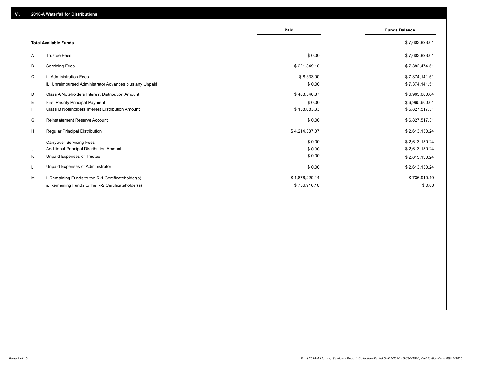|                                                               | Paid           | <b>Funds Balance</b> |
|---------------------------------------------------------------|----------------|----------------------|
| <b>Total Available Funds</b>                                  |                | \$7,603,823.61       |
| <b>Trustee Fees</b><br>A                                      | \$0.00         | \$7,603,823.61       |
| В<br><b>Servicing Fees</b>                                    | \$221,349.10   | \$7,382,474.51       |
| C<br>i. Administration Fees                                   | \$8,333.00     | \$7,374,141.51       |
| ii. Unreimbursed Administrator Advances plus any Unpaid       | \$0.00         | \$7,374,141.51       |
| Class A Noteholders Interest Distribution Amount<br>D         | \$408,540.87   | \$6,965,600.64       |
| E.<br><b>First Priority Principal Payment</b>                 | \$0.00         | \$6,965,600.64       |
| <b>Class B Noteholders Interest Distribution Amount</b><br>F. | \$138,083.33   | \$6,827,517.31       |
| <b>Reinstatement Reserve Account</b><br>G                     | \$0.00         | \$6,827,517.31       |
| H<br><b>Regular Principal Distribution</b>                    | \$4,214,387.07 | \$2,613,130.24       |
| $\mathbf{I}$<br><b>Carryover Servicing Fees</b>               | \$0.00         | \$2,613,130.24       |
| Additional Principal Distribution Amount<br>J                 | \$0.00         | \$2,613,130.24       |
| Κ<br>Unpaid Expenses of Trustee                               | \$0.00         | \$2,613,130.24       |
| Unpaid Expenses of Administrator<br>L                         | \$0.00         | \$2,613,130.24       |
| M<br>i. Remaining Funds to the R-1 Certificateholder(s)       | \$1,876,220.14 | \$736,910.10         |
| ii. Remaining Funds to the R-2 Certificateholder(s)           | \$736,910.10   | \$0.00               |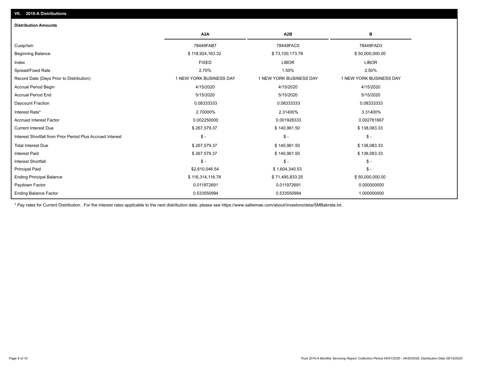| <b>Distribution Amounts</b>                                |                         |                         |                         |
|------------------------------------------------------------|-------------------------|-------------------------|-------------------------|
|                                                            | A <sub>2</sub> A        | A <sub>2</sub> B        | в                       |
| Cusip/Isin                                                 | 78449FAB7               | 78449FAC5               | 78449FAD3               |
| <b>Beginning Balance</b>                                   | \$118,924,163.32        | \$73,100,173.78         | \$50,000,000.00         |
| Index                                                      | <b>FIXED</b>            | <b>LIBOR</b>            | <b>LIBOR</b>            |
| Spread/Fixed Rate                                          | 2.70%                   | 1.50%                   | 2.50%                   |
| Record Date (Days Prior to Distribution)                   | 1 NEW YORK BUSINESS DAY | 1 NEW YORK BUSINESS DAY | 1 NEW YORK BUSINESS DAY |
| <b>Accrual Period Begin</b>                                | 4/15/2020               | 4/15/2020               | 4/15/2020               |
| <b>Accrual Period End</b>                                  | 5/15/2020               | 5/15/2020               | 5/15/2020               |
| Daycount Fraction                                          | 0.08333333              | 0.08333333              | 0.08333333              |
| Interest Rate*                                             | 2.70000%                | 2.31400%                | 3.31400%                |
| <b>Accrued Interest Factor</b>                             | 0.002250000             | 0.001928333             | 0.002761667             |
| <b>Current Interest Due</b>                                | \$267,579.37            | \$140,961.50            | \$138,083.33            |
| Interest Shortfall from Prior Period Plus Accrued Interest | $\frac{1}{2}$           | $\frac{1}{2}$           | $\mathcal{S}$ -         |
| <b>Total Interest Due</b>                                  | \$267,579.37            | \$140,961.50            | \$138,083.33            |
| <b>Interest Paid</b>                                       | \$267,579.37            | \$140,961.50            | \$138,083.33            |
| <b>Interest Shortfall</b>                                  | $\mathsf{\$}$ -         | $$ -$                   | $\mathsf{\$}$ -         |
| <b>Principal Paid</b>                                      | \$2,610,046.54          | \$1,604,340.53          | $$ -$                   |
| <b>Ending Principal Balance</b>                            | \$116,314,116.78        | \$71,495,833.25         | \$50,000,000.00         |
| Paydown Factor                                             | 0.011972691             | 0.011972691             | 0.000000000             |
| <b>Ending Balance Factor</b>                               | 0.533550994             | 0.533550994             | 1.000000000             |

\* Pay rates for Current Distribution. For the interest rates applicable to the next distribution date, please see https://www.salliemae.com/about/investors/data/SMBabrate.txt.

**VII. 2016-A Distributions**